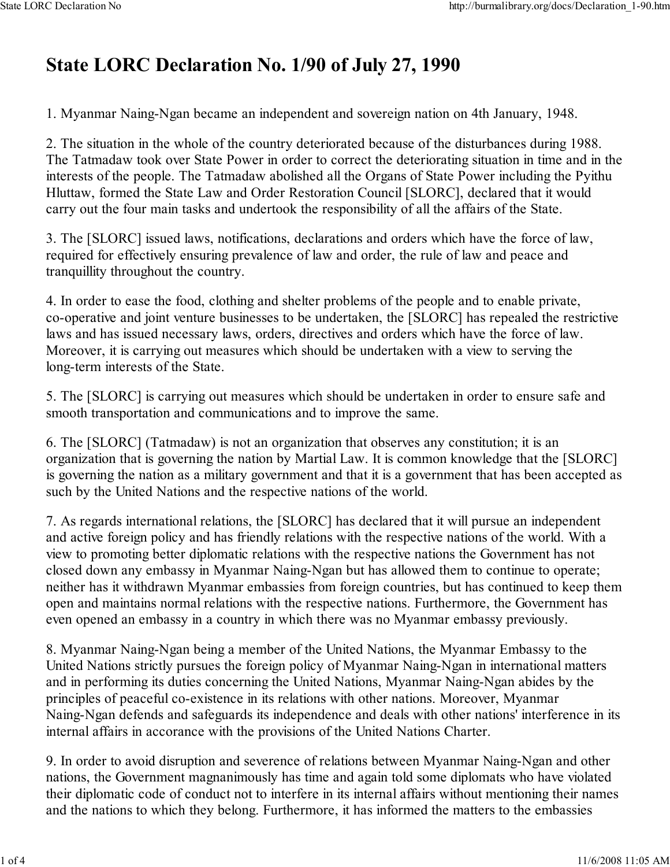## **State LORC Declaration No. 1/90 of July 27, 1990**

1. Myanmar Naing-Ngan became an independent and sovereign nation on 4th January, 1948.

2. The situation in the whole of the country deteriorated because of the disturbances during 1988. The Tatmadaw took over State Power in order to correct the deteriorating situation in time and in the interests of the people. The Tatmadaw abolished all the Organs of State Power including the Pyithu Hluttaw, formed the State Law and Order Restoration Council [SLORC], declared that it would carry out the four main tasks and undertook the responsibility of all the affairs of the State.

3. The [SLORC] issued laws, notifications, declarations and orders which have the force of law, required for effectively ensuring prevalence of law and order, the rule of law and peace and tranquillity throughout the country.

4. In order to ease the food, clothing and shelter problems of the people and to enable private, co-operative and joint venture businesses to be undertaken, the [SLORC] has repealed the restrictive laws and has issued necessary laws, orders, directives and orders which have the force of law. Moreover, it is carrying out measures which should be undertaken with a view to serving the long-term interests of the State.

5. The [SLORC] is carrying out measures which should be undertaken in order to ensure safe and smooth transportation and communications and to improve the same.

6. The [SLORC] (Tatmadaw) is not an organization that observes any constitution; it is an organization that is governing the nation by Martial Law. It is common knowledge that the [SLORC] is governing the nation as a military government and that it is a government that has been accepted as such by the United Nations and the respective nations of the world.

7. As regards international relations, the [SLORC] has declared that it will pursue an independent and active foreign policy and has friendly relations with the respective nations of the world. With a view to promoting better diplomatic relations with the respective nations the Government has not closed down any embassy in Myanmar Naing-Ngan but has allowed them to continue to operate; neither has it withdrawn Myanmar embassies from foreign countries, but has continued to keep them open and maintains normal relations with the respective nations. Furthermore, the Government has even opened an embassy in a country in which there was no Myanmar embassy previously.

8. Myanmar Naing-Ngan being a member of the United Nations, the Myanmar Embassy to the United Nations strictly pursues the foreign policy of Myanmar Naing-Ngan in international matters and in performing its duties concerning the United Nations, Myanmar Naing-Ngan abides by the principles of peaceful co-existence in its relations with other nations. Moreover, Myanmar Naing-Ngan defends and safeguards its independence and deals with other nations' interference in its internal affairs in accorance with the provisions of the United Nations Charter.

9. In order to avoid disruption and severence of relations between Myanmar Naing-Ngan and other nations, the Government magnanimously has time and again told some diplomats who have violated their diplomatic code of conduct not to interfere in its internal affairs without mentioning their names and the nations to which they belong. Furthermore, it has informed the matters to the embassies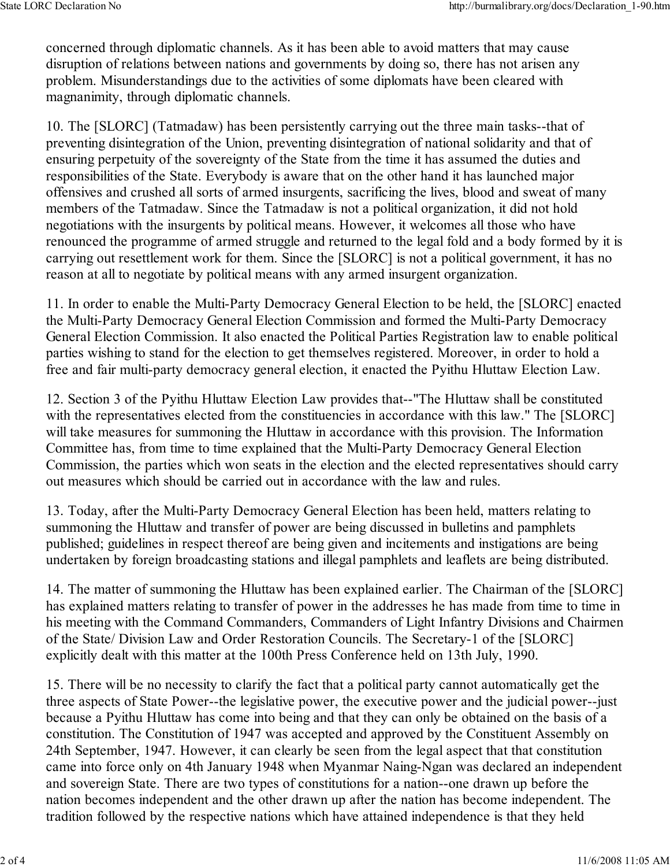concerned through diplomatic channels. As it has been able to avoid matters that may cause disruption of relations between nations and governments by doing so, there has not arisen any problem. Misunderstandings due to the activities of some diplomats have been cleared with magnanimity, through diplomatic channels.

10. The [SLORC] (Tatmadaw) has been persistently carrying out the three main tasks--that of preventing disintegration of the Union, preventing disintegration of national solidarity and that of ensuring perpetuity of the sovereignty of the State from the time it has assumed the duties and responsibilities of the State. Everybody is aware that on the other hand it has launched major offensives and crushed all sorts of armed insurgents, sacrificing the lives, blood and sweat of many members of the Tatmadaw. Since the Tatmadaw is not a political organization, it did not hold negotiations with the insurgents by political means. However, it welcomes all those who have renounced the programme of armed struggle and returned to the legal fold and a body formed by it is carrying out resettlement work for them. Since the [SLORC] is not a political government, it has no reason at all to negotiate by political means with any armed insurgent organization.

11. In order to enable the Multi-Party Democracy General Election to be held, the [SLORC] enacted the Multi-Party Democracy General Election Commission and formed the Multi-Party Democracy General Election Commission. It also enacted the Political Parties Registration law to enable political parties wishing to stand for the election to get themselves registered. Moreover, in order to hold a free and fair multi-party democracy general election, it enacted the Pyithu Hluttaw Election Law.

12. Section 3 of the Pyithu Hluttaw Election Law provides that--"The Hluttaw shall be constituted with the representatives elected from the constituencies in accordance with this law." The [SLORC] will take measures for summoning the Hluttaw in accordance with this provision. The Information Committee has, from time to time explained that the Multi-Party Democracy General Election Commission, the parties which won seats in the election and the elected representatives should carry out measures which should be carried out in accordance with the law and rules.

13. Today, after the Multi-Party Democracy General Election has been held, matters relating to summoning the Hluttaw and transfer of power are being discussed in bulletins and pamphlets published; guidelines in respect thereof are being given and incitements and instigations are being undertaken by foreign broadcasting stations and illegal pamphlets and leaflets are being distributed.

14. The matter of summoning the Hluttaw has been explained earlier. The Chairman of the [SLORC] has explained matters relating to transfer of power in the addresses he has made from time to time in his meeting with the Command Commanders, Commanders of Light Infantry Divisions and Chairmen of the State/ Division Law and Order Restoration Councils. The Secretary-1 of the [SLORC] explicitly dealt with this matter at the 100th Press Conference held on 13th July, 1990.

15. There will be no necessity to clarify the fact that a political party cannot automatically get the three aspects of State Power--the legislative power, the executive power and the judicial power--just because a Pyithu Hluttaw has come into being and that they can only be obtained on the basis of a constitution. The Constitution of 1947 was accepted and approved by the Constituent Assembly on 24th September, 1947. However, it can clearly be seen from the legal aspect that that constitution came into force only on 4th January 1948 when Myanmar Naing-Ngan was declared an independent and sovereign State. There are two types of constitutions for a nation--one drawn up before the nation becomes independent and the other drawn up after the nation has become independent. The tradition followed by the respective nations which have attained independence is that they held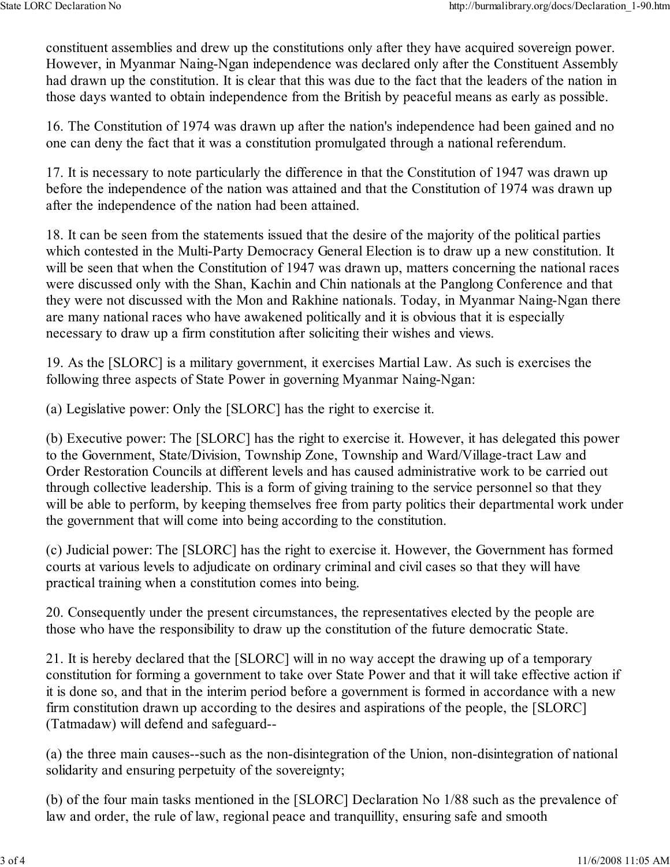constituent assemblies and drew up the constitutions only after they have acquired sovereign power. However, in Myanmar Naing-Ngan independence was declared only after the Constituent Assembly had drawn up the constitution. It is clear that this was due to the fact that the leaders of the nation in those days wanted to obtain independence from the British by peaceful means as early as possible.

16. The Constitution of 1974 was drawn up after the nation's independence had been gained and no one can deny the fact that it was a constitution promulgated through a national referendum.

17. It is necessary to note particularly the difference in that the Constitution of 1947 was drawn up before the independence of the nation was attained and that the Constitution of 1974 was drawn up after the independence of the nation had been attained.

18. It can be seen from the statements issued that the desire of the majority of the political parties which contested in the Multi-Party Democracy General Election is to draw up a new constitution. It will be seen that when the Constitution of 1947 was drawn up, matters concerning the national races were discussed only with the Shan, Kachin and Chin nationals at the Panglong Conference and that they were not discussed with the Mon and Rakhine nationals. Today, in Myanmar Naing-Ngan there are many national races who have awakened politically and it is obvious that it is especially necessary to draw up a firm constitution after soliciting their wishes and views.

19. As the [SLORC] is a military government, it exercises Martial Law. As such is exercises the following three aspects of State Power in governing Myanmar Naing-Ngan:

(a) Legislative power: Only the [SLORC] has the right to exercise it.

(b) Executive power: The [SLORC] has the right to exercise it. However, it has delegated this power to the Government, State/Division, Township Zone, Township and Ward/Village-tract Law and Order Restoration Councils at different levels and has caused administrative work to be carried out through collective leadership. This is a form of giving training to the service personnel so that they will be able to perform, by keeping themselves free from party politics their departmental work under the government that will come into being according to the constitution.

(c) Judicial power: The [SLORC] has the right to exercise it. However, the Government has formed courts at various levels to adjudicate on ordinary criminal and civil cases so that they will have practical training when a constitution comes into being.

20. Consequently under the present circumstances, the representatives elected by the people are those who have the responsibility to draw up the constitution of the future democratic State.

21. It is hereby declared that the [SLORC] will in no way accept the drawing up of a temporary constitution for forming a government to take over State Power and that it will take effective action if it is done so, and that in the interim period before a government is formed in accordance with a new firm constitution drawn up according to the desires and aspirations of the people, the [SLORC] (Tatmadaw) will defend and safeguard--

(a) the three main causes--such as the non-disintegration of the Union, non-disintegration of national solidarity and ensuring perpetuity of the sovereignty;

(b) of the four main tasks mentioned in the [SLORC] Declaration No 1/88 such as the prevalence of law and order, the rule of law, regional peace and tranquillity, ensuring safe and smooth